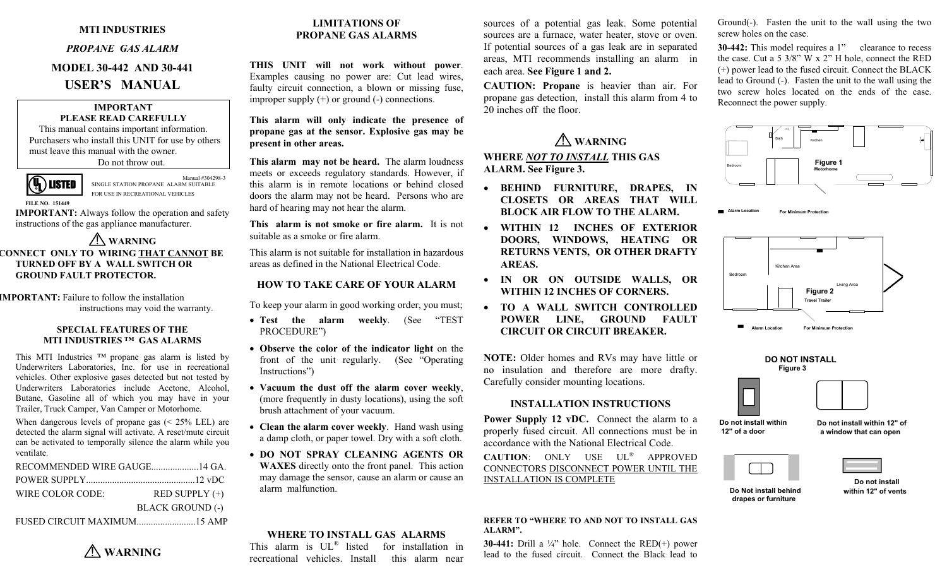#### **MTI INDUSTRIES**

#### *PROPANE GAS ALARM*

# **MODEL 30-442 AND 30-441 USER'S MANUAL**

# **IMPORTANT**

**PLEASE READ CAREFULLY**  This manual contains important information. Purchasers who install this UNIT for use by others must leave this manual with the owner. Do not throw out.



 Manual #304298-3 SINGLE STATION PROPANE ALARM SUITABLE FOR USE IN RECREATIONAL VEHICLES

 **FILE NO. 151449 IMPORTANT:** Always follow the operation and safety instructions of the gas appliance manufacturer.

#### ! **WARNING CONNECT ONLY TO WIRING THAT CANNOT BE TURNED OFF BY A WALL SWITCH OR GROUND FAULT PROTECTOR.**

**IMPORTANT:** Failure to follow the installation instructions may void the warranty.

#### **SPECIAL FEATURES OF THEMTI INDUSTRIES ™ GAS ALARMS**

This MTI Industries ™ propane gas alarm is listed by Underwriters Laboratories, Inc. for use in recreational vehicles. Other explosive gases detected but not tested by Underwriters Laboratories include Acetone, Alcohol, Butane, Gasoline all of which you may have in your Trailer, Truck Camper, Van Camper or Motorhome.

When dangerous levels of propane gas (< 25% LEL) are detected the alarm signal will activate. A reset/mute circuit can be activated to temporally silence the alarm while you ventilate.

| RECOMMENDED WIRE GAUGE14 GA. |                         |
|------------------------------|-------------------------|
|                              |                         |
| WIRE COLOR CODE:             | RED SUPPLY $(+)$        |
|                              | <b>BLACK GROUND (-)</b> |
|                              |                         |

## **LIMITATIONS OF PROPANE GAS ALARMS**

**THIS UNIT will not work without power**. Examples causing no power are: Cut lead wires, faulty circuit connection, a blown or missing fuse, improper supply  $(+)$  or ground  $(-)$  connections.

**This alarm will only indicate the presence of propane gas at the sensor. Explosive gas may be present in other areas.**

**This alarm may not be heard.** The alarm loudness meets or exceeds regulatory standards. However, if this alarm is in remote locations or behind closed doors the alarm may not be heard. Persons who are hard of hearing may not hear the alarm.

**This alarm is not smoke or fire alarm.** It is not suitable as a smoke or fire alarm.

This alarm is not suitable for installation in hazardous areas as defined in the National Electrical Code.

### **HOW TO TAKE CARE OF YOUR ALARM**

To keep your alarm in good working order, you must;

- **Test the alarm weekly**. (See "TEST PROCEDURE")
- **Observe the color of the indicator light** on the front of the unit regularly. (See "Operating Instructions")
- **Vacuum the dust off the alarm cover weekly**, (more frequently in dusty locations), using the soft brush attachment of your vacuum.
- **Clean the alarm cover weekly**. Hand wash using a damp cloth, or paper towel. Dry with a soft cloth.
- **DO NOT SPRAY CLEANING AGENTS OR WAXES** directly onto the front panel. This action may damage the sensor, cause an alarm or cause an alarm malfunction.

#### **WHERE TO INSTALL GAS ALARMS**

This alarm is UL<sup>®</sup> listed for installation in recreational vehicles. Install this alarm near

sources of a potential gas leak. Some potential sources are a furnace, water heater, stove or oven. If potential sources of a gas leak are in separated areas, MTI recommends installing an alarm in each area. **See Figure 1 and 2.**

**CAUTION: Propane** is heavier than air. For propane gas detection, install this alarm from 4 to 20 inches off the floor.

#### ! **WARNING WHERE** *NOT TO INSTALL* **THIS GAS ALARM. See Figure 3.**

- **BEHIND FURNITURE, DRAPES, IN CLOSETS OR AREAS THAT WILL BLOCK AIR FLOW TO THE ALARM.**
- • **WITHIN 12 INCHES OF EXTERIOR DOORS, WINDOWS, HEATING OR RETURNS VENTS, OR OTHER DRAFTY AREAS.**
- **IN OR ON OUTSIDE WALLS, OR WITHIN 12 INCHES OF CORNERS.**
- **TO A WALL SWITCH CONTROLLED POWER LINE, GROUND FAULT CIRCUIT OR CIRCUIT BREAKER.**

**NOTE:** Older homes and RVs may have little or no insulation and therefore are more drafty. Carefully consider mounting locations.

## **INSTALLATION INSTRUCTIONS**

**Power Supply 12 vDC.** Connect the alarm to a properly fused circuit. All connections must be in accordance with the National Electrical Code.

**CAUTION**: ONLY USE UL® APPROVED CONNECTORS DISCONNECT POWER UNTIL THE INSTALLATION IS COMPLETE

#### **REFER TO "WHERE TO AND NOT TO INSTALL GAS ALARM".**

**30-441:** Drill a  $\frac{1}{4}$  hole. Connect the RED(+) power lead to the fused circuit. Connect the Black lead to Ground(-). Fasten the unit to the wall using the two screw holes on the case.

**30-442:** This model requires a 1" clearance to recess the case. Cut a 5 3/8" W x 2" H hole, connect the RED (+) power lead to the fused circuit. Connect the BLACK lead to Ground (-). Fasten the unit to the wall using the two screw holes located on the ends of the case. Reconnect the power supply.



**Alarm LocationFor Minimum Protection**



**DO NOT INSTALL**





**Do not install within 12" of a door**

**Do not install within 12" of a window that can open**

**within 12" of vents**

 **Do not installDo Not install behinddrapes or furniture**